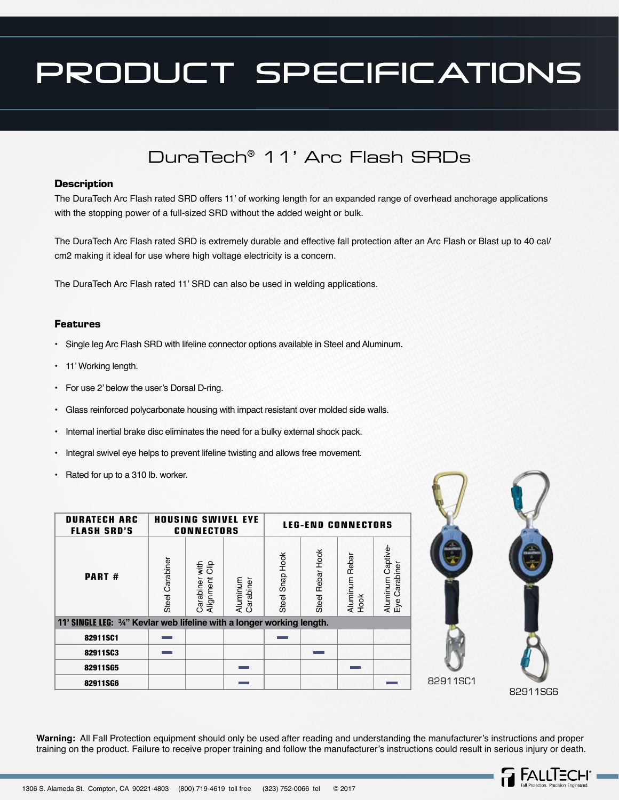## PRODUCT SPECIFICATIONS

### DuraTech® 11' Arc Flash SRDs

#### **Description**

The DuraTech Arc Flash rated SRD offers 11' of working length for an expanded range of overhead anchorage applications with the stopping power of a full-sized SRD without the added weight or bulk.

The DuraTech Arc Flash rated SRD is extremely durable and effective fall protection after an Arc Flash or Blast up to 40 cal/ cm2 making it ideal for use where high voltage electricity is a concern.

The DuraTech Arc Flash rated 11' SRD can also be used in welding applications.

#### **Features**

- Single leg Arc Flash SRD with lifeline connector options available in Steel and Aluminum.
- 11' Working length.
- For use 2' below the user's Dorsal D-ring.
- Glass reinforced polycarbonate housing with impact resistant over molded side walls.
- Internal inertial brake disc eliminates the need for a bulky external shock pack.
- Integral swivel eye helps to prevent lifeline twisting and allows free movement.
- Rated for up to a 310 lb. worker.

| <b>DURATECH ARC</b><br><b>FLASH SRD'S</b>                                     | <b>HOUSING SWIVEL EYE</b><br><b>CONNECTORS</b> |                                  | <b>LEG-END CONNECTORS</b> |                    |                  |                        |                                      |
|-------------------------------------------------------------------------------|------------------------------------------------|----------------------------------|---------------------------|--------------------|------------------|------------------------|--------------------------------------|
| <b>PART#</b>                                                                  | Steel Carabiner                                | Carabiner with<br>Alignment Clip | Aluminum<br>Carabiner     | Hook<br>Steel Snap | Steel Rebar Hook | Aluminum Rebar<br>Hook | Aluminum Captive<br>Carabiner<br>Еуе |
| <b>11' SINGLE LEG: 3/4" Kevlar web lifeline with a longer working length.</b> |                                                |                                  |                           |                    |                  |                        |                                      |
| 82911SC1                                                                      |                                                |                                  |                           |                    |                  |                        |                                      |
| 82911SC3                                                                      |                                                |                                  |                           |                    |                  |                        |                                      |
| 82911SG5                                                                      |                                                |                                  |                           |                    |                  |                        |                                      |
| 82911SG6                                                                      |                                                |                                  |                           |                    |                  |                        |                                      |



**Warning:** All Fall Protection equipment should only be used after reading and understanding the manufacturer's instructions and proper training on the product. Failure to receive proper training and follow the manufacturer's instructions could result in serious injury or death.